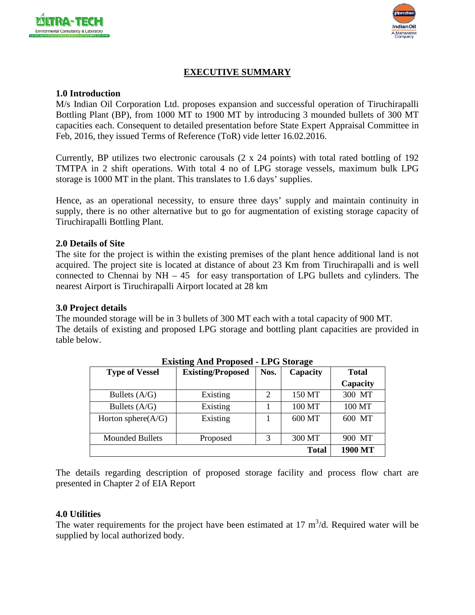



# **EXECUTIVE SUMMARY**

### **1.0 Introduction**

M/s Indian Oil Corporation Ltd. proposes expansion and successful operation of Tiruchirapalli Bottling Plant (BP), from 1000 MT to 1900 MT by introducing 3 mounded bullets of 300 MT capacities each. Consequent to detailed presentation before State Expert Appraisal Committee in Feb, 2016, they issued Terms of Reference (ToR) vide letter 16.02.2016.

Currently, BP utilizes two electronic carousals (2 x 24 points) with total rated bottling of 192 TMTPA in 2 shift operations. With total 4 no of LPG storage vessels, maximum bulk LPG storage is 1000 MT in the plant. This translates to 1.6 days' supplies.

Hence, as an operational necessity, to ensure three days' supply and maintain continuity in supply, there is no other alternative but to go for augmentation of existing storage capacity of Tiruchirapalli Bottling Plant.

### **2.0 Details of Site**

The site for the project is within the existing premises of the plant hence additional land is not acquired. The project site is located at distance of about 23 Km from Tiruchirapalli and is well connected to Chennai by  $NH - 45$  for easy transportation of LPG bullets and cylinders. The nearest Airport is Tiruchirapalli Airport located at 28 km

### **3.0 Project details**

The mounded storage will be in 3 bullets of 300 MT each with a total capacity of 900 MT. The details of existing and proposed LPG storage and bottling plant capacities are provided in table below.

| <b>EXISURE ART LUPUSCU - LI U BIVIAEC</b> |                          |      |              |              |  |  |
|-------------------------------------------|--------------------------|------|--------------|--------------|--|--|
| <b>Type of Vessel</b>                     | <b>Existing/Proposed</b> | Nos. | Capacity     | <b>Total</b> |  |  |
|                                           |                          |      |              | Capacity     |  |  |
| Bullets $(A/G)$                           | Existing                 | 2    | 150 MT       | 300 MT       |  |  |
| Bullets $(A/G)$                           | Existing                 |      | 100 MT       | 100 MT       |  |  |
| Horton sphere $(A/G)$                     | Existing                 |      | 600 MT       | 600 MT       |  |  |
| <b>Mounded Bullets</b>                    | Proposed                 | 3    | 300 MT       | 900 MT       |  |  |
|                                           |                          |      | <b>Total</b> | 1900 MT      |  |  |

**Existing And Proposed - LPG Storage**

The details regarding description of proposed storage facility and process flow chart are presented in Chapter 2 of EIA Report

### **4.0 Utilities**

The water requirements for the project have been estimated at  $17 \text{ m}^3/\text{d}$ . Required water will be supplied by local authorized body.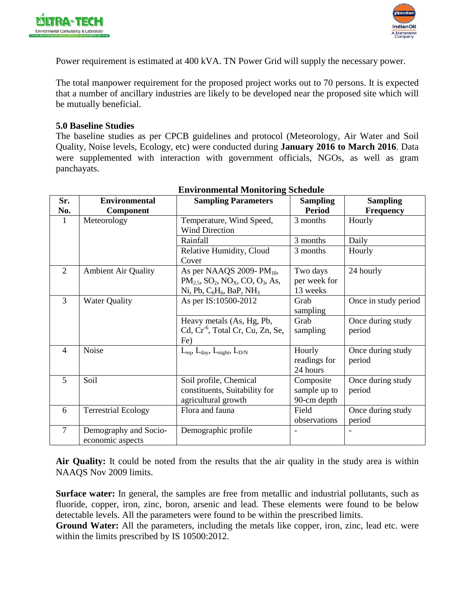



Power requirement is estimated at 400 kVA. TN Power Grid will supply the necessary power.

The total manpower requirement for the proposed project works out to 70 persons. It is expected that a number of ancillary industries are likely to be developed near the proposed site which will be mutually beneficial.

#### **5.0 Baseline Studies**

The baseline studies as per CPCB guidelines and protocol (Meteorology, Air Water and Soil Quality, Noise levels, Ecology, etc) were conducted during **January 2016 to March 2016**. Data were supplemented with interaction with government officials, NGOs, as well as gram panchayats.

| Sr.            | <b>Environmental</b>       | <b>Sampling Parameters</b>                                                | <b>Sampling</b> | <b>Sampling</b>      |
|----------------|----------------------------|---------------------------------------------------------------------------|-----------------|----------------------|
|                |                            |                                                                           |                 |                      |
| No.            | Component                  |                                                                           | <b>Period</b>   | Frequency            |
| $\mathbf{1}$   | Meteorology                | Temperature, Wind Speed,                                                  | 3 months        | Hourly               |
|                |                            | <b>Wind Direction</b>                                                     |                 |                      |
|                |                            | Rainfall                                                                  | 3 months        | Daily                |
|                |                            | Relative Humidity, Cloud                                                  | 3 months        | Hourly               |
|                |                            | Cover                                                                     |                 |                      |
| $\overline{2}$ | <b>Ambient Air Quality</b> | As per NAAQS 2009-PM <sub>10</sub> ,                                      | Two days        | 24 hourly            |
|                |                            | $PM_{2.5}$ , SO <sub>2</sub> , NO <sub>X</sub> , CO, O <sub>3</sub> , As, | per week for    |                      |
|                |                            | Ni, Pb, $C_6H_6$ , BaP, NH <sub>3</sub>                                   | 13 weeks        |                      |
| 3              | <b>Water Quality</b>       | As per IS:10500-2012                                                      | Grab            | Once in study period |
|                |                            |                                                                           | sampling        |                      |
|                |                            | Heavy metals (As, Hg, Pb,                                                 | Grab            | Once during study    |
|                |                            | Cd, Cr <sup>-6</sup> , Total Cr, Cu, Zn, Se,                              | sampling        | period               |
|                |                            | Fe)                                                                       |                 |                      |
| $\overline{4}$ | Noise                      | $L_{eq}$ , $L_{day}$ , $L_{night}$ , $L_{D/N}$                            | Hourly          | Once during study    |
|                |                            |                                                                           | readings for    | period               |
|                |                            |                                                                           | 24 hours        |                      |
| 5              | Soil                       | Soil profile, Chemical                                                    | Composite       | Once during study    |
|                |                            | constituents, Suitability for                                             | sample up to    | period               |
|                |                            | agricultural growth                                                       | 90-cm depth     |                      |
| 6              | <b>Terrestrial Ecology</b> | Flora and fauna                                                           | Field           | Once during study    |
|                |                            |                                                                           | observations    | period               |
| $\overline{7}$ | Demography and Socio-      | Demographic profile                                                       |                 |                      |
|                | economic aspects           |                                                                           |                 |                      |

# **Environmental Monitoring Schedule**

**Air Quality:** It could be noted from the results that the air quality in the study area is within NAAQS Nov 2009 limits.

**Surface water:** In general, the samples are free from metallic and industrial pollutants, such as fluoride, copper, iron, zinc, boron, arsenic and lead. These elements were found to be below detectable levels. All the parameters were found to be within the prescribed limits.

**Ground Water:** All the parameters, including the metals like copper, iron, zinc, lead etc. were within the limits prescribed by IS 10500:2012.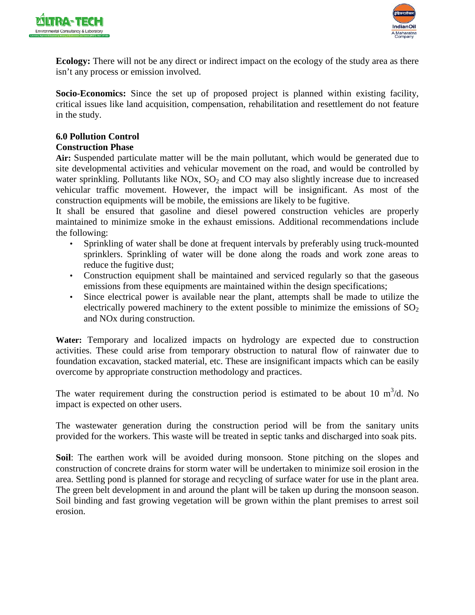



**Ecology:** There will not be any direct or indirect impact on the ecology of the study area as there isn't any process or emission involved.

**Socio-Economics:** Since the set up of proposed project is planned within existing facility, critical issues like land acquisition, compensation, rehabilitation and resettlement do not feature in the study.

#### **6.0 Pollution Control Construction Phase**

**Air:** Suspended particulate matter will be the main pollutant, which would be generated due to site developmental activities and vehicular movement on the road, and would be controlled by water sprinkling. Pollutants like  $NOx$ ,  $SO<sub>2</sub>$  and  $CO$  may also slightly increase due to increased vehicular traffic movement. However, the impact will be insignificant. As most of the construction equipments will be mobile, the emissions are likely to be fugitive.

It shall be ensured that gasoline and diesel powered construction vehicles are properly maintained to minimize smoke in the exhaust emissions. Additional recommendations include the following:

- Sprinkling of water shall be done at frequent intervals by preferably using truck-mounted sprinklers. Sprinkling of water will be done along the roads and work zone areas to reduce the fugitive dust;
- Construction equipment shall be maintained and serviced regularly so that the gaseous emissions from these equipments are maintained within the design specifications;
- Since electrical power is available near the plant, attempts shall be made to utilize the electrically powered machinery to the extent possible to minimize the emissions of  $SO_2$ and NOx during construction.

**Water:** Temporary and localized impacts on hydrology are expected due to construction activities. These could arise from temporary obstruction to natural flow of rainwater due to foundation excavation, stacked material, etc. These are insignificant impacts which can be easily overcome by appropriate construction methodology and practices.

The water requirement during the construction period is estimated to be about 10  $m^3/d$ . No impact is expected on other users.

The wastewater generation during the construction period will be from the sanitary units provided for the workers. This waste will be treated in septic tanks and discharged into soak pits.

**Soil**: The earthen work will be avoided during monsoon. Stone pitching on the slopes and construction of concrete drains for storm water will be undertaken to minimize soil erosion in the area. Settling pond is planned for storage and recycling of surface water for use in the plant area. The green belt development in and around the plant will be taken up during the monsoon season. Soil binding and fast growing vegetation will be grown within the plant premises to arrest soil erosion.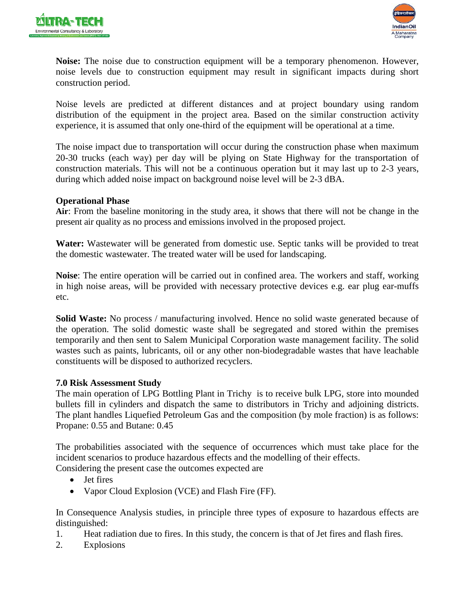



**Noise:** The noise due to construction equipment will be a temporary phenomenon. However, noise levels due to construction equipment may result in significant impacts during short construction period.

Noise levels are predicted at different distances and at project boundary using random distribution of the equipment in the project area. Based on the similar construction activity experience, it is assumed that only one-third of the equipment will be operational at a time.

The noise impact due to transportation will occur during the construction phase when maximum 20-30 trucks (each way) per day will be plying on State Highway for the transportation of construction materials. This will not be a continuous operation but it may last up to 2-3 years, during which added noise impact on background noise level will be 2-3 dBA.

### **Operational Phase**

**Air**: From the baseline monitoring in the study area, it shows that there will not be change in the present air quality as no process and emissions involved in the proposed project.

**Water:** Wastewater will be generated from domestic use. Septic tanks will be provided to treat the domestic wastewater. The treated water will be used for landscaping.

**Noise**: The entire operation will be carried out in confined area. The workers and staff, working in high noise areas, will be provided with necessary protective devices e.g. ear plug ear-muffs etc.

**Solid Waste:** No process / manufacturing involved. Hence no solid waste generated because of the operation. The solid domestic waste shall be segregated and stored within the premises temporarily and then sent to Salem Municipal Corporation waste management facility. The solid wastes such as paints, lubricants, oil or any other non-biodegradable wastes that have leachable constituents will be disposed to authorized recyclers.

### **7.0 Risk Assessment Study**

The main operation of LPG Bottling Plant in Trichy is to receive bulk LPG, store into mounded bullets fill in cylinders and dispatch the same to distributors in Trichy and adjoining districts. The plant handles Liquefied Petroleum Gas and the composition (by mole fraction) is as follows: Propane: 0.55 and Butane: 0.45

The probabilities associated with the sequence of occurrences which must take place for the incident scenarios to produce hazardous effects and the modelling of their effects.

Considering the present case the outcomes expected are

- Jet fires
- Vapor Cloud Explosion (VCE) and Flash Fire (FF).

In Consequence Analysis studies, in principle three types of exposure to hazardous effects are distinguished:

- 1. Heat radiation due to fires. In this study, the concern is that of Jet fires and flash fires.
- 2. Explosions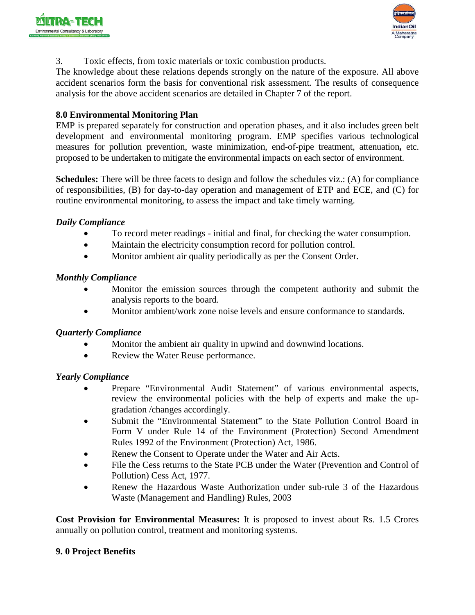



3. Toxic effects, from toxic materials or toxic combustion products.

The knowledge about these relations depends strongly on the nature of the exposure. All above accident scenarios form the basis for conventional risk assessment. The results of consequence analysis for the above accident scenarios are detailed in Chapter 7 of the report.

## **8.0 Environmental Monitoring Plan**

EMP is prepared separately for construction and operation phases, and it also includes green belt development and environmental monitoring program. EMP specifies various technological measures for pollution prevention, waste minimization, end-of-pipe treatment, attenuation**,** etc. proposed to be undertaken to mitigate the environmental impacts on each sector of environment.

**Schedules:** There will be three facets to design and follow the schedules viz.: (A) for compliance of responsibilities, (B) for day-to-day operation and management of ETP and ECE, and (C) for routine environmental monitoring, to assess the impact and take timely warning.

### *Daily Compliance*

- To record meter readings initial and final, for checking the water consumption.
- Maintain the electricity consumption record for pollution control.
- Monitor ambient air quality periodically as per the Consent Order.

### *Monthly Compliance*

- Monitor the emission sources through the competent authority and submit the analysis reports to the board.
- Monitor ambient/work zone noise levels and ensure conformance to standards.

### *Quarterly Compliance*

- Monitor the ambient air quality in upwind and downwind locations.
- Review the Water Reuse performance.

### *Yearly Compliance*

- Prepare "Environmental Audit Statement" of various environmental aspects, review the environmental policies with the help of experts and make the upgradation /changes accordingly.
- Submit the "Environmental Statement" to the State Pollution Control Board in Form V under Rule 14 of the Environment (Protection) Second Amendment Rules 1992 of the Environment (Protection) Act, 1986.
- Renew the Consent to Operate under the Water and Air Acts.
- File the Cess returns to the State PCB under the Water (Prevention and Control of Pollution) Cess Act, 1977.
- Renew the Hazardous Waste Authorization under sub-rule 3 of the Hazardous Waste (Management and Handling) Rules, 2003

**Cost Provision for Environmental Measures:** It is proposed to invest about Rs. 1.5 Crores annually on pollution control, treatment and monitoring systems.

### **9. 0 Project Benefits**